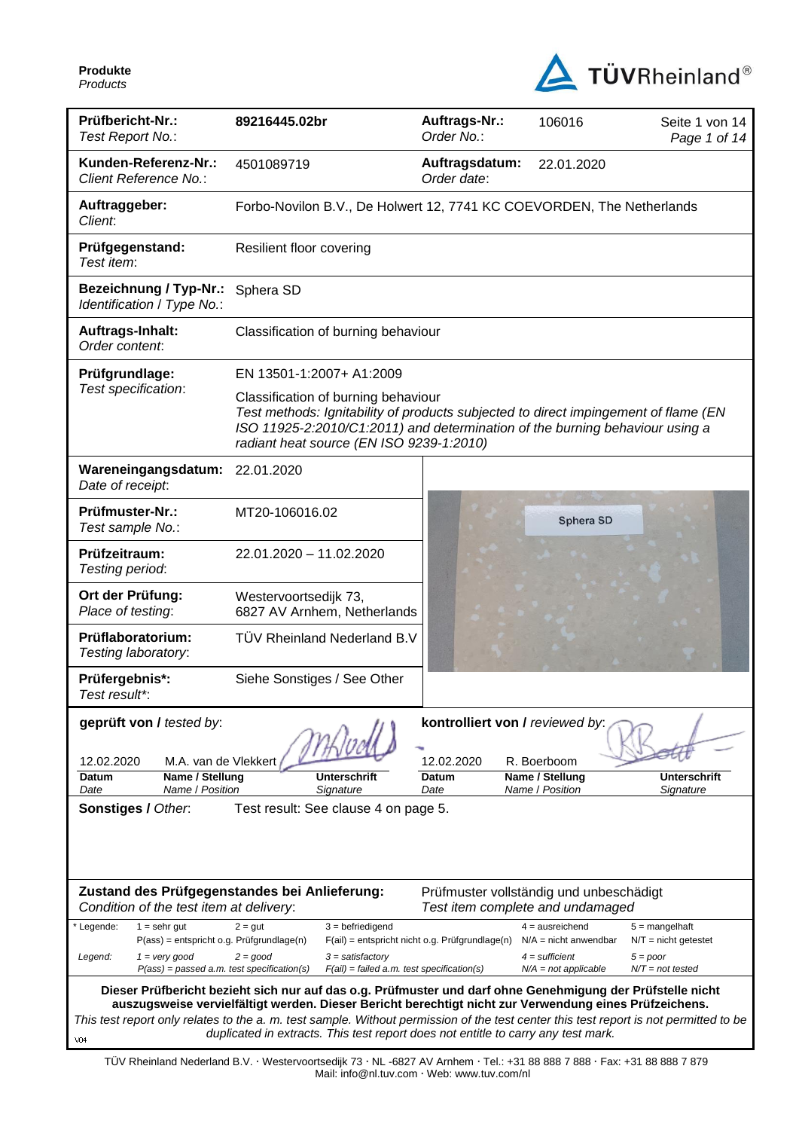

| Prüfbericht-Nr.:<br>Test Report No.:                                                                                  | 89216445.02br                                                                                                                                                                                                                                          | Auftrags-Nr.:<br>Order No.:                                                 | 106016                                            | Seite 1 von 14<br>Page 1 of 14             |  |
|-----------------------------------------------------------------------------------------------------------------------|--------------------------------------------------------------------------------------------------------------------------------------------------------------------------------------------------------------------------------------------------------|-----------------------------------------------------------------------------|---------------------------------------------------|--------------------------------------------|--|
| Kunden-Referenz-Nr.:<br>Client Reference No.:                                                                         | 4501089719                                                                                                                                                                                                                                             | Auftragsdatum:<br>Order date:                                               | 22.01.2020                                        |                                            |  |
| Auftraggeber:<br>Client:                                                                                              | Forbo-Novilon B.V., De Holwert 12, 7741 KC COEVORDEN, The Netherlands                                                                                                                                                                                  |                                                                             |                                                   |                                            |  |
| Prüfgegenstand:<br>Test item:                                                                                         | Resilient floor covering                                                                                                                                                                                                                               |                                                                             |                                                   |                                            |  |
| <b>Bezeichnung / Typ-Nr.:</b><br>Identification / Type No.:                                                           | Sphera SD                                                                                                                                                                                                                                              |                                                                             |                                                   |                                            |  |
| Auftrags-Inhalt:<br>Order content:                                                                                    | Classification of burning behaviour                                                                                                                                                                                                                    |                                                                             |                                                   |                                            |  |
| Prüfgrundlage:                                                                                                        | EN 13501-1:2007+ A1:2009                                                                                                                                                                                                                               |                                                                             |                                                   |                                            |  |
| Test specification:                                                                                                   | Classification of burning behaviour<br>Test methods: Ignitability of products subjected to direct impingement of flame (EN<br>ISO 11925-2:2010/C1:2011) and determination of the burning behaviour using a<br>radiant heat source (EN ISO 9239-1:2010) |                                                                             |                                                   |                                            |  |
| Wareneingangsdatum:<br>Date of receipt:                                                                               | 22.01.2020                                                                                                                                                                                                                                             |                                                                             |                                                   |                                            |  |
| Prüfmuster-Nr.:<br>Test sample No.:                                                                                   | MT20-106016.02                                                                                                                                                                                                                                         |                                                                             | Sphera SD                                         |                                            |  |
| Prüfzeitraum:<br>Testing period:                                                                                      | 22.01.2020 - 11.02.2020                                                                                                                                                                                                                                |                                                                             |                                                   |                                            |  |
| Ort der Prüfung:<br>Place of testing:                                                                                 | Westervoortsedijk 73,<br>6827 AV Arnhem, Netherlands                                                                                                                                                                                                   |                                                                             |                                                   |                                            |  |
| Prüflaboratorium:<br>Testing laboratory:                                                                              | TÜV Rheinland Nederland B.V                                                                                                                                                                                                                            |                                                                             |                                                   |                                            |  |
| Prüfergebnis*:<br>Test result*:                                                                                       | Siehe Sonstiges / See Other                                                                                                                                                                                                                            |                                                                             |                                                   |                                            |  |
| geprüft von / tested by:<br>M.A. van de Vlekkert<br>12.02.2020<br>Name / Stellung<br>Datum<br>Name / Position<br>Date | <b>Unterschrift</b><br>Signature                                                                                                                                                                                                                       | kontrolliert von / reviewed by:<br>12.02.2020<br>Datum<br>Date              | R. Boerboom<br>Name / Stellung<br>Name / Position | Unterschrift<br>Signature                  |  |
| Sonstiges / Other.<br>Test result: See clause 4 on page 5.                                                            |                                                                                                                                                                                                                                                        |                                                                             |                                                   |                                            |  |
| Condition of the test item at delivery:                                                                               | Zustand des Prüfgegenstandes bei Anlieferung:                                                                                                                                                                                                          | Prüfmuster vollständig und unbeschädigt<br>Test item complete and undamaged |                                                   |                                            |  |
| Legende:<br>$1 =$ sehr gut<br>P(ass) = entspricht o.g. Prüfgrundlage(n)                                               | $3 = \text{before}$<br>$2 = gut$                                                                                                                                                                                                                       | $F(ai)$ = entspricht nicht o.g. Prüfgrundlage(n)                            | $4 = a$ usreichend<br>$N/A$ = nicht anwendbar     | $5 =$ mangelhaft<br>$N/T =$ nicht getestet |  |
| $1 = \text{very good}$<br>Legend:<br>$P(ass) = passed a.m. test specification(s)$                                     | $2 = good$<br>$3 = satisfactory$<br>$F(ai) = failed a.m. test specification(s)$                                                                                                                                                                        |                                                                             | $4 =$ sufficient<br>$N/A = not applicable$        | $5 = poor$<br>$N/T = not tested$           |  |
|                                                                                                                       | Dieser Prüfbericht bezieht sich nur auf das o.g. Prüfmuster und darf ohne Genehmigung der Prüfstelle nicht                                                                                                                                             |                                                                             |                                                   |                                            |  |
|                                                                                                                       | auszugsweise vervielfältigt werden. Dieser Bericht berechtigt nicht zur Verwendung eines Prüfzeichens.<br>This test report only relates to the a. m. test sample. Without permission of the test center this test report is not permitted to be        |                                                                             |                                                   |                                            |  |
| V04                                                                                                                   | duplicated in extracts. This test report does not entitle to carry any test mark.                                                                                                                                                                      |                                                                             |                                                   |                                            |  |

TÜV Rheinland Nederland B.V. Westervoortsedijk 73 NL -6827 AV Arnhem Tel.: +31 88 888 7 888 Fax: +31 88 888 7 879 Mail: info@nl.tuv.com · Web: www.tuv.com/nl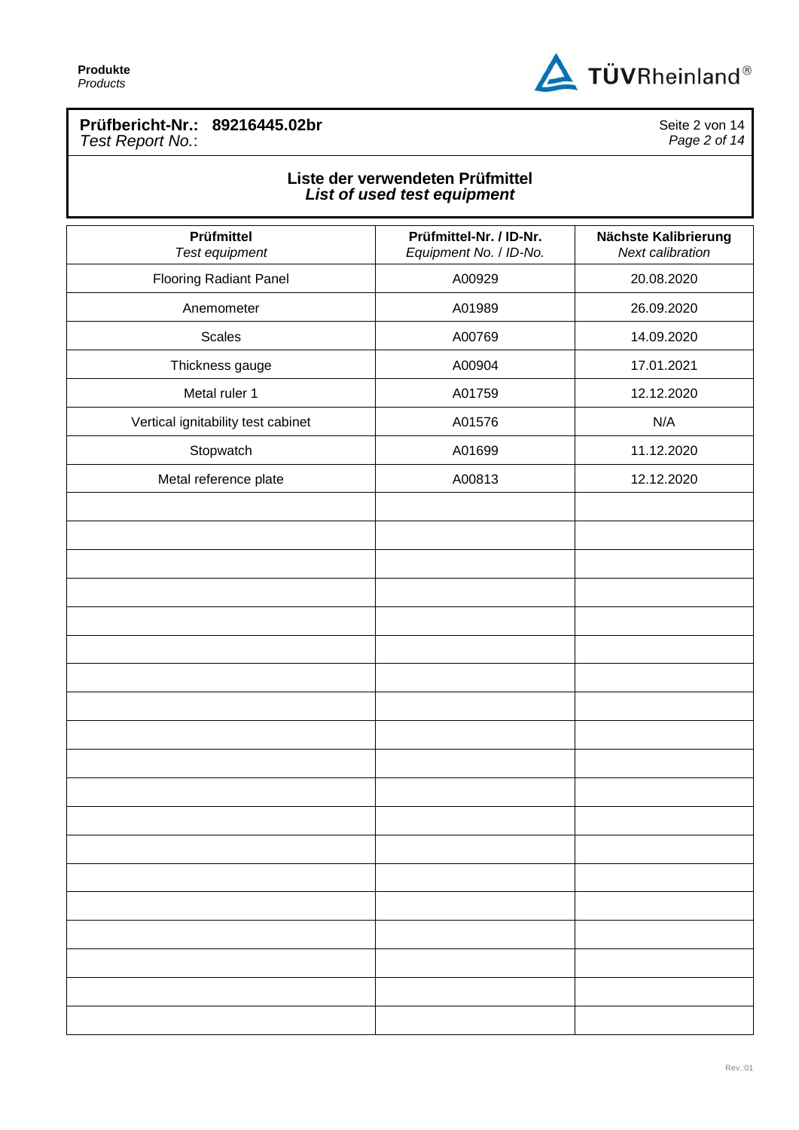

## **Prüfbericht-Nr.: 89216445.02br** *Test Report No.*:

Seite 2 von 14 *Page 2 of 14*

## **Liste der verwendeten Prüfmittel** *List of used test equipment*

| Prüfmittel<br>Test equipment       | Prüfmittel-Nr. / ID-Nr.<br>Equipment No. / ID-No. | Nächste Kalibrierung<br>Next calibration |
|------------------------------------|---------------------------------------------------|------------------------------------------|
| <b>Flooring Radiant Panel</b>      | A00929                                            | 20.08.2020                               |
| Anemometer                         | A01989                                            | 26.09.2020                               |
| <b>Scales</b>                      | A00769                                            | 14.09.2020                               |
| Thickness gauge                    | A00904                                            | 17.01.2021                               |
| Metal ruler 1                      | A01759                                            | 12.12.2020                               |
| Vertical ignitability test cabinet | A01576                                            | N/A                                      |
| Stopwatch                          | A01699                                            | 11.12.2020                               |
| Metal reference plate              | A00813                                            | 12.12.2020                               |
|                                    |                                                   |                                          |
|                                    |                                                   |                                          |
|                                    |                                                   |                                          |
|                                    |                                                   |                                          |
|                                    |                                                   |                                          |
|                                    |                                                   |                                          |
|                                    |                                                   |                                          |
|                                    |                                                   |                                          |
|                                    |                                                   |                                          |
|                                    |                                                   |                                          |
|                                    |                                                   |                                          |
|                                    |                                                   |                                          |
|                                    |                                                   |                                          |
|                                    |                                                   |                                          |
|                                    |                                                   |                                          |
|                                    |                                                   |                                          |
|                                    |                                                   |                                          |
|                                    |                                                   |                                          |
|                                    |                                                   |                                          |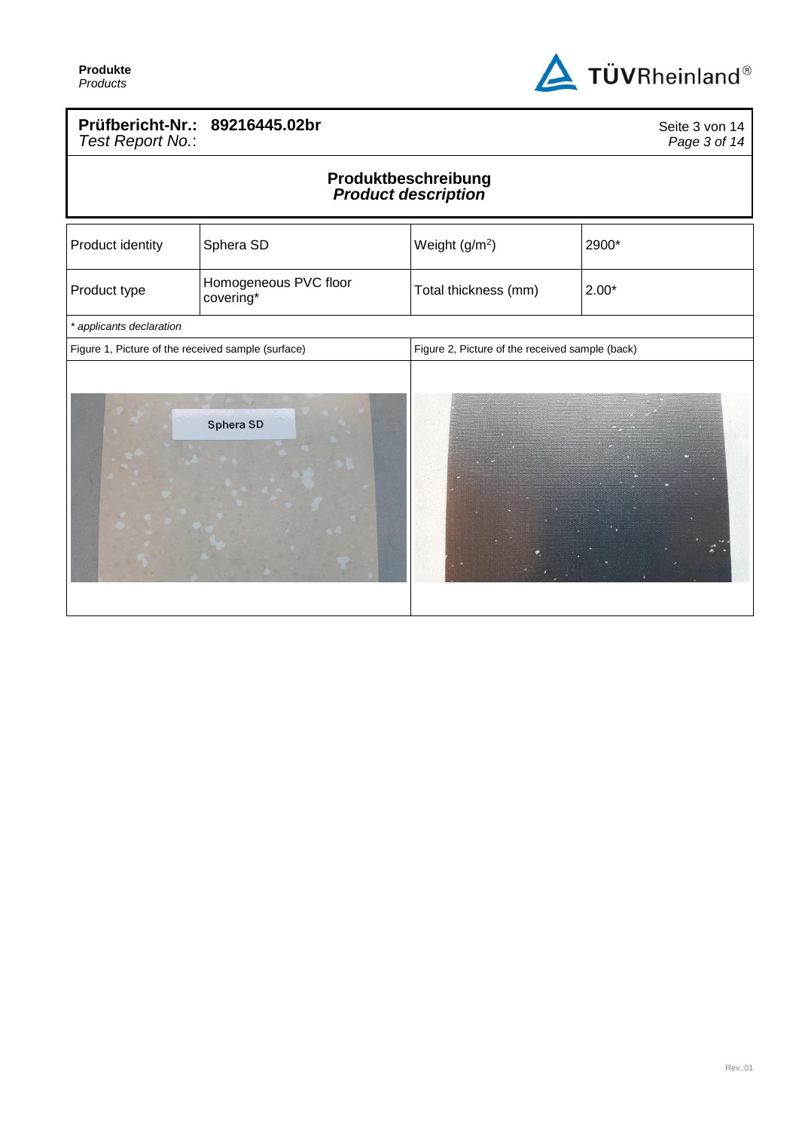

## **Prüfbericht-Nr.: 89216445.02br** *Test Report No.*:

Seite 3 von 14 *Page 3 of 14*

## **Produktbeschreibung** *Product description*

| Product identity                                   | Sphera SD                          | Weight (g/m <sup>2</sup> )                      | 2900*   |
|----------------------------------------------------|------------------------------------|-------------------------------------------------|---------|
| Product type                                       | Homogeneous PVC floor<br>covering* | Total thickness (mm)                            | $2.00*$ |
| * applicants declaration                           |                                    |                                                 |         |
| Figure 1, Picture of the received sample (surface) |                                    | Figure 2, Picture of the received sample (back) |         |
|                                                    | Sphera SD                          |                                                 |         |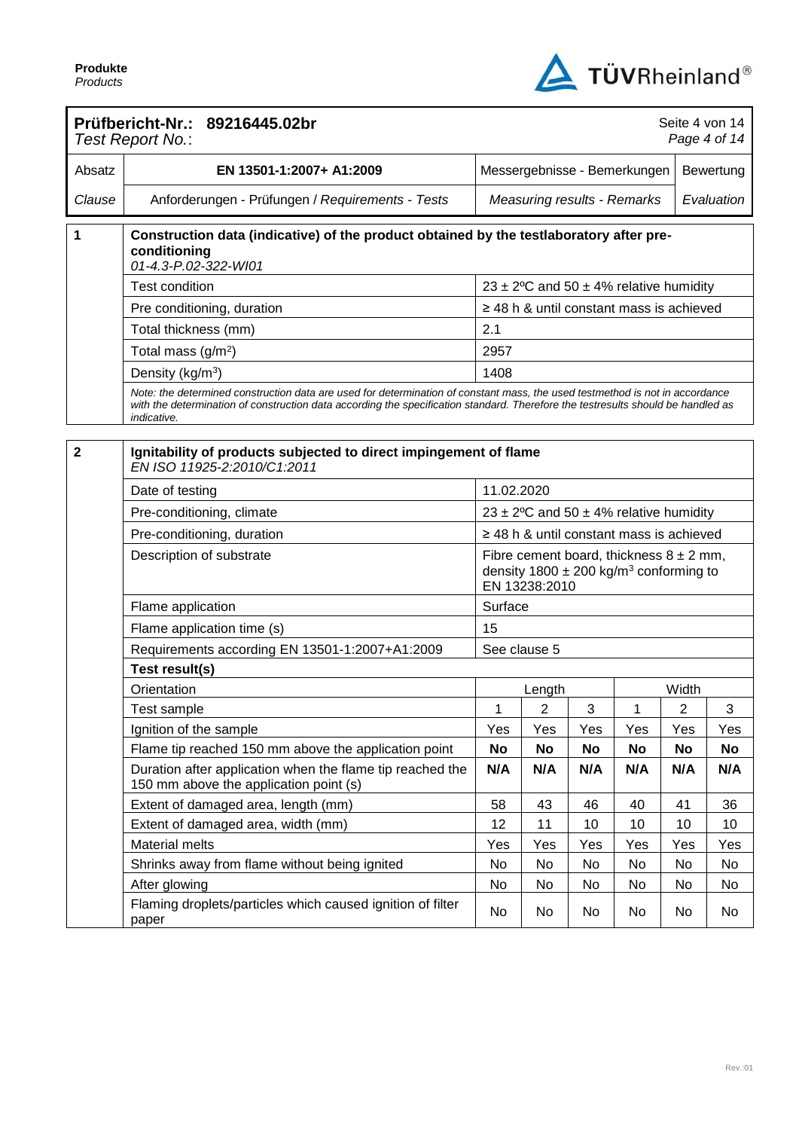

|                         | Prüfbericht-Nr.: 89216445.02br<br>Test Report No.:                                                                                                                                                                                                                              | Seite 4 von 14<br>Page 4 of 14     |               |     |                                                                                                       |            |           |
|-------------------------|---------------------------------------------------------------------------------------------------------------------------------------------------------------------------------------------------------------------------------------------------------------------------------|------------------------------------|---------------|-----|-------------------------------------------------------------------------------------------------------|------------|-----------|
| Absatz                  | EN 13501-1:2007+ A1:2009                                                                                                                                                                                                                                                        | Messergebnisse - Bemerkungen       |               |     |                                                                                                       |            | Bewertung |
| Clause                  | Anforderungen - Prüfungen / Requirements - Tests                                                                                                                                                                                                                                | <b>Measuring results - Remarks</b> |               |     |                                                                                                       | Evaluation |           |
| 1                       | Construction data (indicative) of the product obtained by the testlaboratory after pre-<br>conditioning<br>01-4.3-P.02-322-WI01                                                                                                                                                 |                                    |               |     |                                                                                                       |            |           |
|                         | <b>Test condition</b>                                                                                                                                                                                                                                                           |                                    |               |     | 23 ± 2°C and 50 ± 4% relative humidity                                                                |            |           |
|                         | Pre conditioning, duration                                                                                                                                                                                                                                                      |                                    |               |     | $\geq$ 48 h & until constant mass is achieved                                                         |            |           |
|                         | Total thickness (mm)                                                                                                                                                                                                                                                            | 2.1                                |               |     |                                                                                                       |            |           |
|                         | Total mass $(g/m2)$                                                                                                                                                                                                                                                             | 2957                               |               |     |                                                                                                       |            |           |
|                         | Density (kg/m <sup>3</sup> )                                                                                                                                                                                                                                                    | 1408                               |               |     |                                                                                                       |            |           |
|                         | Note: the determined construction data are used for determination of constant mass, the used testmethod is not in accordance<br>with the determination of construction data according the specification standard. Therefore the testresults should be handled as<br>indicative. |                                    |               |     |                                                                                                       |            |           |
|                         |                                                                                                                                                                                                                                                                                 |                                    |               |     |                                                                                                       |            |           |
| $\overline{\mathbf{2}}$ | Ignitability of products subjected to direct impingement of flame<br>EN ISO 11925-2:2010/C1:2011                                                                                                                                                                                |                                    |               |     |                                                                                                       |            |           |
|                         | Date of testing                                                                                                                                                                                                                                                                 | 11.02.2020                         |               |     |                                                                                                       |            |           |
|                         | Pre-conditioning, climate                                                                                                                                                                                                                                                       |                                    |               |     | 23 ± 2°C and 50 ± 4% relative humidity                                                                |            |           |
|                         | Pre-conditioning, duration                                                                                                                                                                                                                                                      |                                    |               |     | $\geq$ 48 h & until constant mass is achieved                                                         |            |           |
|                         | Description of substrate                                                                                                                                                                                                                                                        |                                    | EN 13238:2010 |     | Fibre cement board, thickness $8 \pm 2$ mm,<br>density $1800 \pm 200$ kg/m <sup>3</sup> conforming to |            |           |
|                         | Flame application                                                                                                                                                                                                                                                               | Surface                            |               |     |                                                                                                       |            |           |
|                         | Flame application time (s)                                                                                                                                                                                                                                                      | 15                                 |               |     |                                                                                                       |            |           |
|                         | Requirements according EN 13501-1:2007+A1:2009                                                                                                                                                                                                                                  |                                    | See clause 5  |     |                                                                                                       |            |           |
|                         | Test result(s)                                                                                                                                                                                                                                                                  |                                    |               |     |                                                                                                       |            |           |
|                         | Orientation                                                                                                                                                                                                                                                                     |                                    | Length        |     |                                                                                                       | Width      |           |
|                         | Test sample                                                                                                                                                                                                                                                                     | 1                                  | 2             | 3   | 1                                                                                                     | 2          | 3         |
|                         | Ignition of the sample                                                                                                                                                                                                                                                          | Yes                                | Yes           | Yes | Yes                                                                                                   | Yes        | Yes       |
|                         | Flame tip reached 150 mm above the application point                                                                                                                                                                                                                            | No                                 | No            | No  | No                                                                                                    | <b>No</b>  | No        |
|                         | Duration after application when the flame tip reached the<br>150 mm above the application point (s)                                                                                                                                                                             | N/A                                | N/A           | N/A | N/A                                                                                                   | N/A        | N/A       |
|                         | Extent of damaged area, length (mm)                                                                                                                                                                                                                                             | 58                                 | 43            | 46  | 40                                                                                                    | 41         | 36        |
|                         | Extent of damaged area, width (mm)                                                                                                                                                                                                                                              | 12                                 | 11            | 10  | 10                                                                                                    | 10         | 10        |
|                         | Material melts                                                                                                                                                                                                                                                                  | Yes                                | Yes           | Yes | Yes                                                                                                   | Yes        | Yes       |
|                         | Shrinks away from flame without being ignited                                                                                                                                                                                                                                   | No                                 | No            | No  | No                                                                                                    | No         | No        |
|                         | After glowing                                                                                                                                                                                                                                                                   | No                                 | No            | No  | No                                                                                                    | No         | No        |
|                         | Flaming droplets/particles which caused ignition of filter<br>paper                                                                                                                                                                                                             | No                                 | No            | No  | No                                                                                                    | No         | No        |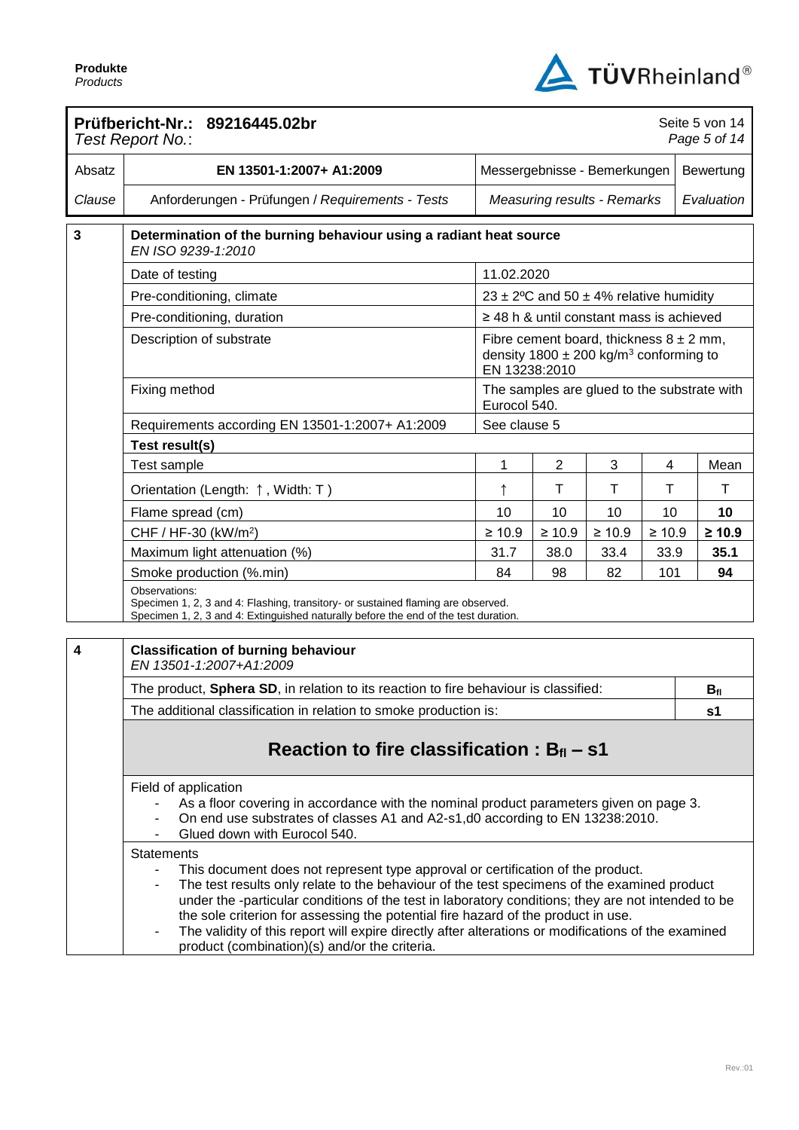

|        | Prüfbericht-Nr.: 89216445.02br<br>Seite 5 von 14<br>Page 5 of 14<br>Test Report No.:                                                                                                                                                                                                                                                                                                                                                                                                                                                                                                                 |                              |                |                                                                                                       |             |  |                |
|--------|------------------------------------------------------------------------------------------------------------------------------------------------------------------------------------------------------------------------------------------------------------------------------------------------------------------------------------------------------------------------------------------------------------------------------------------------------------------------------------------------------------------------------------------------------------------------------------------------------|------------------------------|----------------|-------------------------------------------------------------------------------------------------------|-------------|--|----------------|
| Absatz | EN 13501-1:2007+ A1:2009                                                                                                                                                                                                                                                                                                                                                                                                                                                                                                                                                                             | Messergebnisse - Bemerkungen |                |                                                                                                       |             |  | Bewertung      |
| Clause | Anforderungen - Prüfungen / Requirements - Tests                                                                                                                                                                                                                                                                                                                                                                                                                                                                                                                                                     |                              |                | <b>Measuring results - Remarks</b>                                                                    |             |  | Evaluation     |
| 3      | Determination of the burning behaviour using a radiant heat source<br>EN ISO 9239-1:2010                                                                                                                                                                                                                                                                                                                                                                                                                                                                                                             |                              |                |                                                                                                       |             |  |                |
|        | Date of testing                                                                                                                                                                                                                                                                                                                                                                                                                                                                                                                                                                                      | 11.02.2020                   |                |                                                                                                       |             |  |                |
|        | Pre-conditioning, climate                                                                                                                                                                                                                                                                                                                                                                                                                                                                                                                                                                            |                              |                | 23 ± 2°C and 50 ± 4% relative humidity                                                                |             |  |                |
|        | Pre-conditioning, duration                                                                                                                                                                                                                                                                                                                                                                                                                                                                                                                                                                           |                              |                | $\geq$ 48 h & until constant mass is achieved                                                         |             |  |                |
|        | Description of substrate                                                                                                                                                                                                                                                                                                                                                                                                                                                                                                                                                                             | EN 13238:2010                |                | Fibre cement board, thickness $8 \pm 2$ mm,<br>density $1800 \pm 200$ kg/m <sup>3</sup> conforming to |             |  |                |
|        | Fixing method                                                                                                                                                                                                                                                                                                                                                                                                                                                                                                                                                                                        | Eurocol 540.                 |                | The samples are glued to the substrate with                                                           |             |  |                |
|        | Requirements according EN 13501-1:2007+ A1:2009                                                                                                                                                                                                                                                                                                                                                                                                                                                                                                                                                      | See clause 5                 |                |                                                                                                       |             |  |                |
|        | Test result(s)                                                                                                                                                                                                                                                                                                                                                                                                                                                                                                                                                                                       |                              |                |                                                                                                       |             |  |                |
|        | Test sample                                                                                                                                                                                                                                                                                                                                                                                                                                                                                                                                                                                          | 1                            | $\overline{2}$ | 3                                                                                                     | 4           |  | Mean           |
|        | Orientation (Length: ↑, Width: T)                                                                                                                                                                                                                                                                                                                                                                                                                                                                                                                                                                    | ↑                            | Τ              | Τ                                                                                                     | Т           |  | Τ              |
|        | Flame spread (cm)                                                                                                                                                                                                                                                                                                                                                                                                                                                                                                                                                                                    | 10                           | 10             | 10                                                                                                    | 10          |  | 10             |
|        | CHF / HF-30 (kW/m <sup>2</sup> )                                                                                                                                                                                                                                                                                                                                                                                                                                                                                                                                                                     | $\geq 10.9$                  | $\geq 10.9$    | $\geq 10.9$                                                                                           | $\geq 10.9$ |  | $\geq 10.9$    |
|        | Maximum light attenuation (%)                                                                                                                                                                                                                                                                                                                                                                                                                                                                                                                                                                        | 31.7                         | 38.0           | 33.4                                                                                                  | 33.9        |  | 35.1           |
|        | Smoke production (%.min)                                                                                                                                                                                                                                                                                                                                                                                                                                                                                                                                                                             | 84                           | 98             | 82                                                                                                    | 101         |  | 94             |
|        | Observations:<br>Specimen 1, 2, 3 and 4: Flashing, transitory- or sustained flaming are observed.<br>Specimen 1, 2, 3 and 4: Extinguished naturally before the end of the test duration.                                                                                                                                                                                                                                                                                                                                                                                                             |                              |                |                                                                                                       |             |  |                |
| 4      | <b>Classification of burning behaviour</b><br>EN 13501-1:2007+A1:2009                                                                                                                                                                                                                                                                                                                                                                                                                                                                                                                                |                              |                |                                                                                                       |             |  |                |
|        | The product, Sphera SD, in relation to its reaction to fire behaviour is classified:                                                                                                                                                                                                                                                                                                                                                                                                                                                                                                                 |                              |                |                                                                                                       |             |  | $B_{fl}$       |
|        | The additional classification in relation to smoke production is:                                                                                                                                                                                                                                                                                                                                                                                                                                                                                                                                    |                              |                |                                                                                                       |             |  | s <sub>1</sub> |
|        | Reaction to fire classification : $B_{fi}$ – s1                                                                                                                                                                                                                                                                                                                                                                                                                                                                                                                                                      |                              |                |                                                                                                       |             |  |                |
|        | Field of application<br>As a floor covering in accordance with the nominal product parameters given on page 3.<br>On end use substrates of classes A1 and A2-s1,d0 according to EN 13238:2010.<br>Glued down with Eurocol 540.                                                                                                                                                                                                                                                                                                                                                                       |                              |                |                                                                                                       |             |  |                |
|        | <b>Statements</b><br>This document does not represent type approval or certification of the product.<br>$\overline{\phantom{0}}$<br>The test results only relate to the behaviour of the test specimens of the examined product<br>$\blacksquare$<br>under the -particular conditions of the test in laboratory conditions; they are not intended to be<br>the sole criterion for assessing the potential fire hazard of the product in use.<br>The validity of this report will expire directly after alterations or modifications of the examined<br>product (combination)(s) and/or the criteria. |                              |                |                                                                                                       |             |  |                |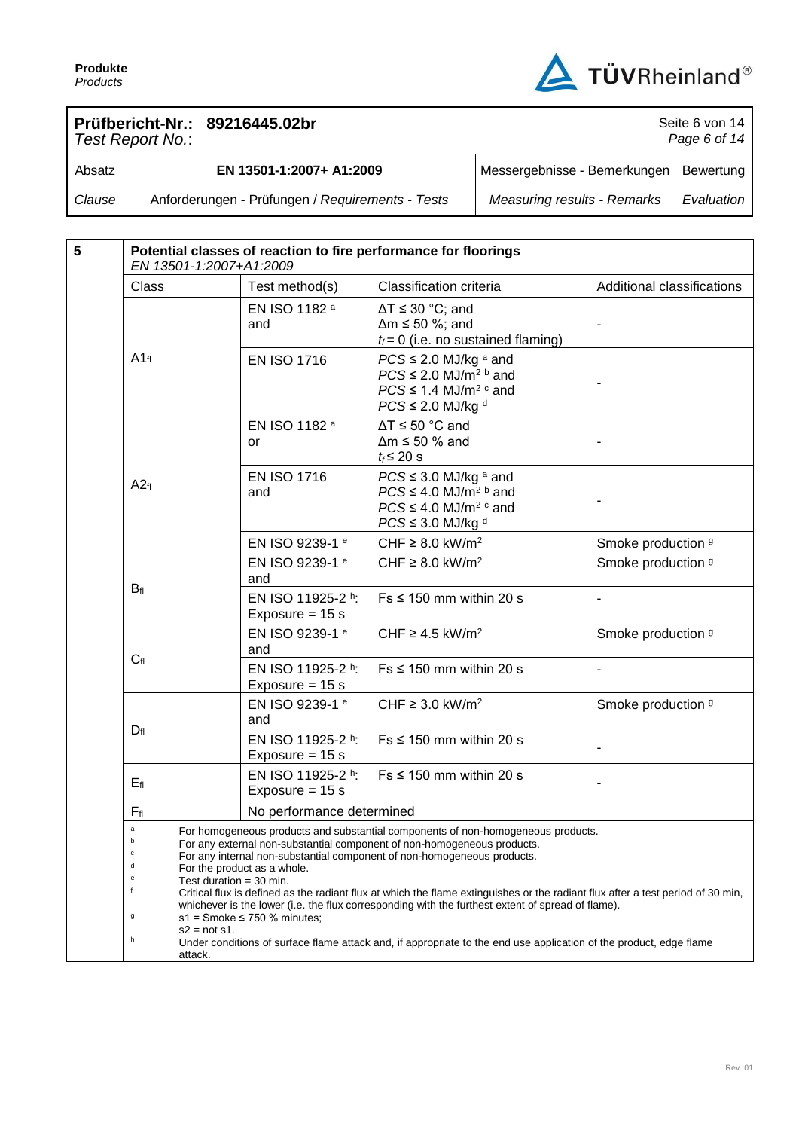

Seite 6 von 14

## **Prüfbericht-Nr.: 89216445.02br**

| Page 6 of $14$<br>Test Report No.: |                                                  |                                          |            |  |  |
|------------------------------------|--------------------------------------------------|------------------------------------------|------------|--|--|
| Absatz                             | EN 13501-1:2007+ A1:2009                         | Messergebnisse - Bemerkungen   Bewertung |            |  |  |
| Clause                             | Anforderungen - Prüfungen / Requirements - Tests | <b>Measuring results - Remarks</b>       | Evaluation |  |  |

| $5\phantom{1}$ | Potential classes of reaction to fire performance for floorings<br>EN 13501-1:2007+A1:2009                                                                                                                                                                                                                                                                                                                                                                                                                                                                                                                             |                                        |                                                                                                                                                       |                              |  |  |  |
|----------------|------------------------------------------------------------------------------------------------------------------------------------------------------------------------------------------------------------------------------------------------------------------------------------------------------------------------------------------------------------------------------------------------------------------------------------------------------------------------------------------------------------------------------------------------------------------------------------------------------------------------|----------------------------------------|-------------------------------------------------------------------------------------------------------------------------------------------------------|------------------------------|--|--|--|
|                | Class                                                                                                                                                                                                                                                                                                                                                                                                                                                                                                                                                                                                                  | Test method(s)                         | Classification criteria                                                                                                                               | Additional classifications   |  |  |  |
|                |                                                                                                                                                                                                                                                                                                                                                                                                                                                                                                                                                                                                                        | EN ISO 1182 a<br>and                   | $\Delta T \leq 30$ °C; and<br>$\Delta m \le 50$ %; and<br>$t_f = 0$ (i.e. no sustained flaming)                                                       |                              |  |  |  |
|                | $A1_{fl}$                                                                                                                                                                                                                                                                                                                                                                                                                                                                                                                                                                                                              | <b>EN ISO 1716</b>                     | $PCS \leq 2.0$ MJ/kg $a$ and<br>$PCS \leq 2.0$ MJ/m <sup>2 b</sup> and<br>$PCS \leq 1.4$ MJ/m <sup>2 c</sup> and<br>$PCS \leq 2.0$ MJ/kg <sup>d</sup> |                              |  |  |  |
|                |                                                                                                                                                                                                                                                                                                                                                                                                                                                                                                                                                                                                                        | EN ISO 1182 a<br>or                    | $\Delta T \le 50$ °C and<br>$\Delta m \le 50$ % and<br>$t_f \leq 20$ s                                                                                |                              |  |  |  |
|                | A2f1                                                                                                                                                                                                                                                                                                                                                                                                                                                                                                                                                                                                                   | <b>EN ISO 1716</b><br>and              | $PCS \leq 3.0$ MJ/kg a and<br>$PCS \leq 4.0$ MJ/m <sup>2 b</sup> and<br>$PCS \leq 4.0$ MJ/m <sup>2 c</sup> and<br>$PCS \leq 3.0$ MJ/kg d              |                              |  |  |  |
|                |                                                                                                                                                                                                                                                                                                                                                                                                                                                                                                                                                                                                                        | EN ISO 9239-1 e                        | CHF $\geq$ 8.0 kW/m <sup>2</sup>                                                                                                                      | Smoke production 9           |  |  |  |
|                | $B_{fl}$                                                                                                                                                                                                                                                                                                                                                                                                                                                                                                                                                                                                               | EN ISO 9239-1 e<br>and                 | CHF $\geq$ 8.0 kW/m <sup>2</sup>                                                                                                                      | Smoke production 9           |  |  |  |
|                |                                                                                                                                                                                                                                                                                                                                                                                                                                                                                                                                                                                                                        | EN ISO 11925-2 h:<br>Exposure = $15 s$ | $Fs \leq 150$ mm within 20 s                                                                                                                          | $\overline{\phantom{a}}$     |  |  |  |
|                |                                                                                                                                                                                                                                                                                                                                                                                                                                                                                                                                                                                                                        | EN ISO 9239-1 e<br>and                 | CHF $\geq$ 4.5 kW/m <sup>2</sup>                                                                                                                      | Smoke production 9           |  |  |  |
|                | $C_{fl}$                                                                                                                                                                                                                                                                                                                                                                                                                                                                                                                                                                                                               | EN ISO 11925-2 h:<br>Exposure = $15 s$ | $Fs \leq 150$ mm within 20 s                                                                                                                          | $\overline{\phantom{a}}$     |  |  |  |
|                |                                                                                                                                                                                                                                                                                                                                                                                                                                                                                                                                                                                                                        | EN ISO 9239-1 e<br>and                 | CHF $\geq$ 3.0 kW/m <sup>2</sup>                                                                                                                      | Smoke production 9           |  |  |  |
|                | $D_{fl}$                                                                                                                                                                                                                                                                                                                                                                                                                                                                                                                                                                                                               | EN ISO 11925-2 h:<br>Exposure = $15 s$ | $Fs \leq 150$ mm within 20 s                                                                                                                          |                              |  |  |  |
|                | $E_{fl}$                                                                                                                                                                                                                                                                                                                                                                                                                                                                                                                                                                                                               | EN ISO 11925-2 h:<br>Exposure = $15 s$ | $Fs \leq 150$ mm within 20 s                                                                                                                          | $\qquad \qquad \blacksquare$ |  |  |  |
|                | $F_{\rm fl}$                                                                                                                                                                                                                                                                                                                                                                                                                                                                                                                                                                                                           | No performance determined              |                                                                                                                                                       |                              |  |  |  |
|                | $\mathsf a$<br>For homogeneous products and substantial components of non-homogeneous products.<br>For any external non-substantial component of non-homogeneous products.<br>c<br>For any internal non-substantial component of non-homogeneous products.<br>d<br>For the product as a whole.<br>e<br>Test duration = 30 min.<br>f<br>Critical flux is defined as the radiant flux at which the flame extinguishes or the radiant flux after a test period of 30 min,<br>whichever is the lower (i.e. the flux corresponding with the furthest extent of spread of flame).<br>g<br>$s1 =$ Smoke $\leq 750$ % minutes; |                                        |                                                                                                                                                       |                              |  |  |  |
|                | $s2 = not s1$ .<br>h<br>Under conditions of surface flame attack and, if appropriate to the end use application of the product, edge flame<br>attack.                                                                                                                                                                                                                                                                                                                                                                                                                                                                  |                                        |                                                                                                                                                       |                              |  |  |  |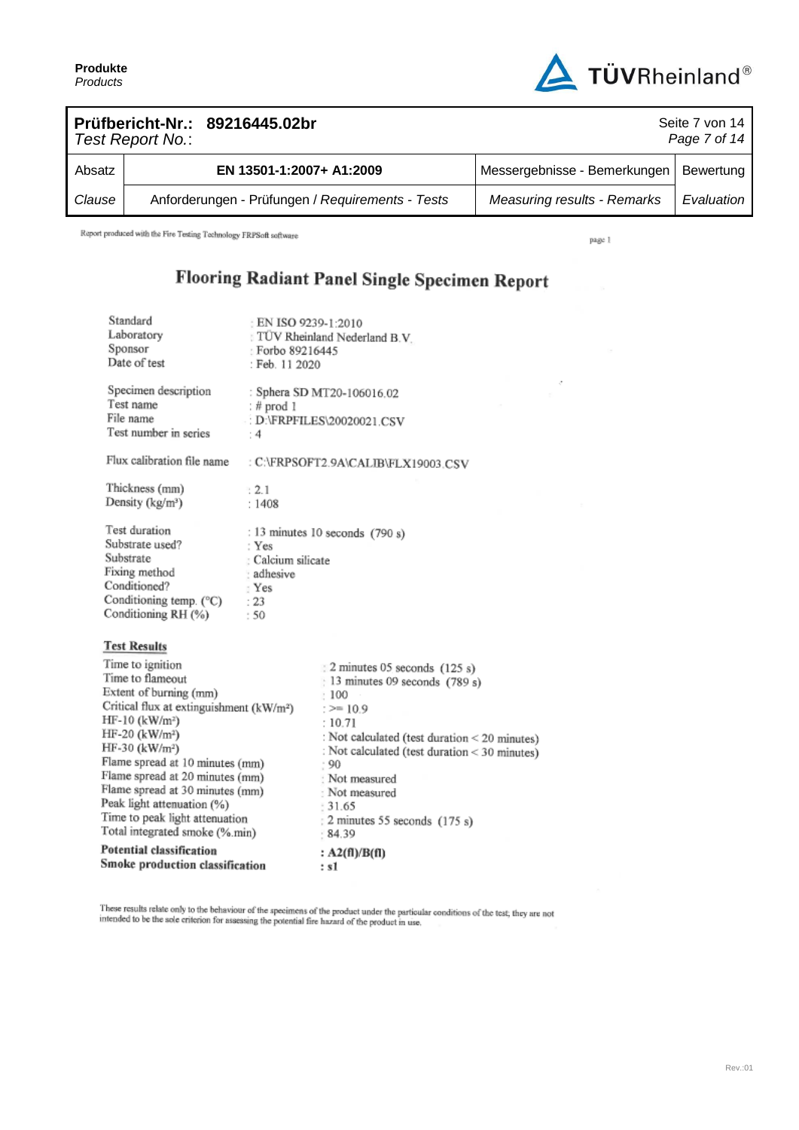

| Prüfbericht-Nr.: 89216445.02br<br>Seite 7 von 14<br>Page 7 of 14<br>Test Report No.: |  |                                                  |                                    |            |  |
|--------------------------------------------------------------------------------------|--|--------------------------------------------------|------------------------------------|------------|--|
| Absatz                                                                               |  | EN 13501-1:2007+ A1:2009                         | Messergebnisse - Bemerkungen       | Bewertung  |  |
| Clause                                                                               |  | Anforderungen - Prüfungen / Requirements - Tests | <b>Measuring results - Remarks</b> | Evaluation |  |

Report produced with the Fire Testing Technology FRPSoft software

Standard

page 1

## Flooring Radiant Panel Single Specimen Report

| Standard<br>Laboratory<br>Sponsor<br>Date of test                                                                                                                                                                                                                                                                                                                                                                  | : EN ISO 9239-1:2010<br>: Forbo 89216445<br>: Feb. 11 2020        | TUV Rheinland Nederland B.V.                                                                                                                                                                                                                                                                      |
|--------------------------------------------------------------------------------------------------------------------------------------------------------------------------------------------------------------------------------------------------------------------------------------------------------------------------------------------------------------------------------------------------------------------|-------------------------------------------------------------------|---------------------------------------------------------------------------------------------------------------------------------------------------------------------------------------------------------------------------------------------------------------------------------------------------|
| Specimen description<br>Test name<br>File name<br>Test number in series                                                                                                                                                                                                                                                                                                                                            | : $#$ prod 1<br>$\cdot$ 4                                         | : Sphera SD MT20-106016.02<br>D:\FRPFILES\20020021.CSV                                                                                                                                                                                                                                            |
| Flux calibration file name                                                                                                                                                                                                                                                                                                                                                                                         |                                                                   | : C:\FRPSOFT2.9A\CALIB\FLX19003.CSV                                                                                                                                                                                                                                                               |
| Thickness (mm)<br>Density (kg/m <sup>3</sup> )                                                                                                                                                                                                                                                                                                                                                                     | 3.2.1<br>:1408                                                    |                                                                                                                                                                                                                                                                                                   |
| Test duration<br>Substrate used?<br>Substrate<br>Fixing method<br>Conditioned?<br>Conditioning temp. (°C)<br>Conditioning RH (%)                                                                                                                                                                                                                                                                                   | : Yes<br>: Calcium silicate<br>: adhesive<br>: Yes<br>: 23<br>:50 | : 13 minutes 10 seconds (790 s)                                                                                                                                                                                                                                                                   |
| <b>Test Results</b>                                                                                                                                                                                                                                                                                                                                                                                                |                                                                   |                                                                                                                                                                                                                                                                                                   |
| Time to ignition<br>Time to flameout<br>Extent of burning (mm)<br>Critical flux at extinguishment $(kW/m2)$<br>$HF-10$ (kW/m <sup>2</sup> )<br>HF-20 (kW/m <sup>2</sup> )<br>HF-30 (kW/m <sup>2</sup> )<br>Flame spread at 10 minutes (mm)<br>Flame spread at 20 minutes (mm)<br>Flame spread at 30 minutes (mm)<br>Peak light attenuation (%)<br>Time to peak light attenuation<br>Total integrated smoke (%.min) |                                                                   | 2 minutes 05 seconds (125 s)<br>13 minutes 09 seconds (789 s)<br>:100<br>$:=$ 10.9<br>: 10.71<br>: Not calculated (test duration < 20 minutes)<br>: Not calculated (test duration < 30 minutes)<br>.90<br>: Not measured<br>: Not measured<br>$-31.65$<br>: 2 minutes 55 seconds (175 s)<br>84.39 |
| Potential classification<br>Smoke production classification                                                                                                                                                                                                                                                                                                                                                        |                                                                   | : $A2(fI)/B(fI)$<br>: s1                                                                                                                                                                                                                                                                          |
|                                                                                                                                                                                                                                                                                                                                                                                                                    |                                                                   |                                                                                                                                                                                                                                                                                                   |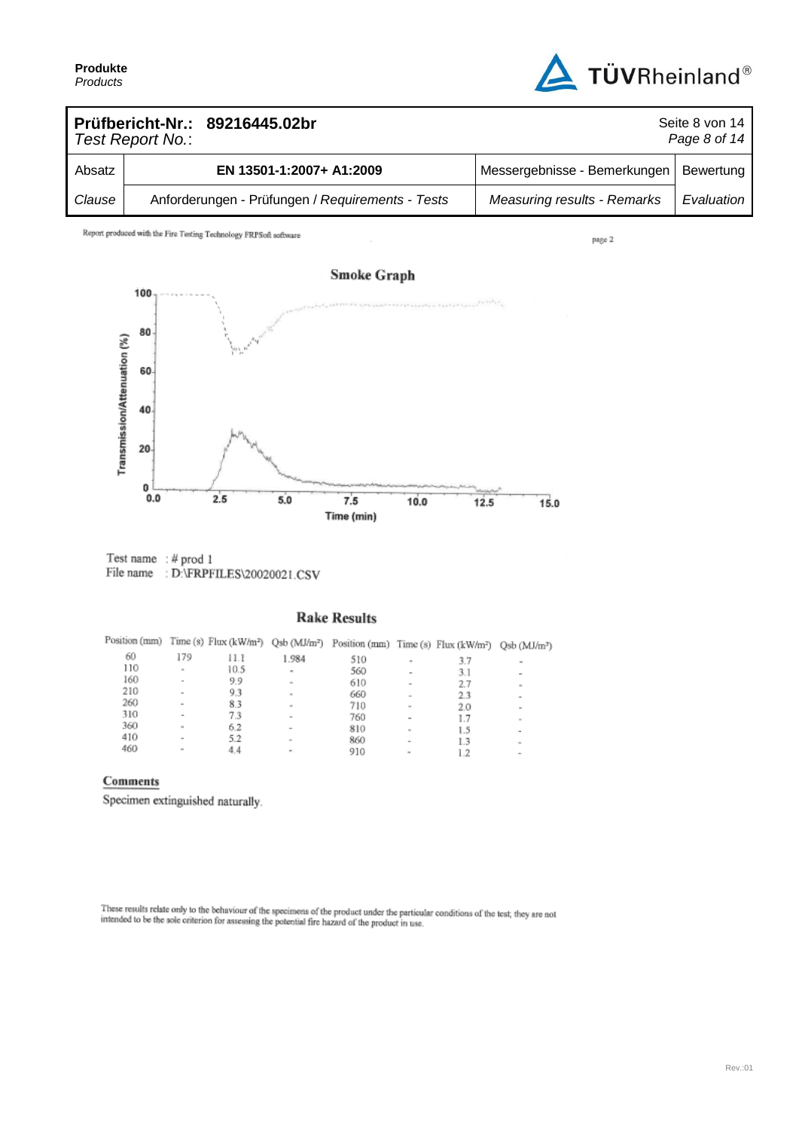

| Prüfbericht-Nr.: 89216445.02br<br>Seite 8 von 14<br>Page 8 of 14<br>Test Report No.: |  |                                                  |                                    |            |  |
|--------------------------------------------------------------------------------------|--|--------------------------------------------------|------------------------------------|------------|--|
| Absatz                                                                               |  | EN 13501-1:2007+ A1:2009                         | Messergebnisse - Bemerkungen       | Bewertung  |  |
| Clause                                                                               |  | Anforderungen - Prüfungen / Requirements - Tests | <b>Measuring results - Remarks</b> | Evaluation |  |

Report produced with the Fire Testing Technology FRPSoft software

page 2



Test name : # prod 1 File name : D:\FRPFILES\20020021.CSV

### **Rake Results**

| Position (mm) |                          |      |        | Time (s) Flux (kW/m <sup>2</sup> ) Qsb (MJ/m <sup>2</sup> ) Position (mm) Time (s) Flux (kW/m <sup>2</sup> ) Qsb (MJ/m <sup>2</sup> ) |        |     |                          |
|---------------|--------------------------|------|--------|---------------------------------------------------------------------------------------------------------------------------------------|--------|-----|--------------------------|
| 60            | 179                      | 11.1 | 1.984  | 510                                                                                                                                   | ٠      | 3.7 | ۰                        |
| 110           | ٠                        | 10.5 | ۰      | 560                                                                                                                                   | ۰      | 3.1 | $\,$                     |
| 160           | $\overline{\phantom{a}}$ | 9.9  | $\sim$ | 610                                                                                                                                   | ۰      | 2.7 | $\equiv$                 |
| 210           | $\overline{\phantom{a}}$ | 9.3  | $\sim$ | 660                                                                                                                                   | $\sim$ | 23  | $\overline{\phantom{a}}$ |
| 260           | $\sim$                   | 8.3  | $\sim$ | 710                                                                                                                                   | $\sim$ | 2.0 | ۰                        |
| 310           | $\overline{\phantom{a}}$ | 7.3  | $\sim$ | 760                                                                                                                                   | $\,$   | 1.7 | $\sim$                   |
| 360           | $\overline{a}$           | 6.2  | $\sim$ | 810                                                                                                                                   | $\sim$ | 1.5 | $\,$                     |
| 410           | $\sim$                   | 5.2  | $\sim$ | 860                                                                                                                                   |        | 1.3 | $\sim$                   |
| 460           | $\sim$                   | 4.4  | ۰      | 910                                                                                                                                   | ٠      | 1.2 | $\,$                     |

#### Comments

Specimen extinguished naturally.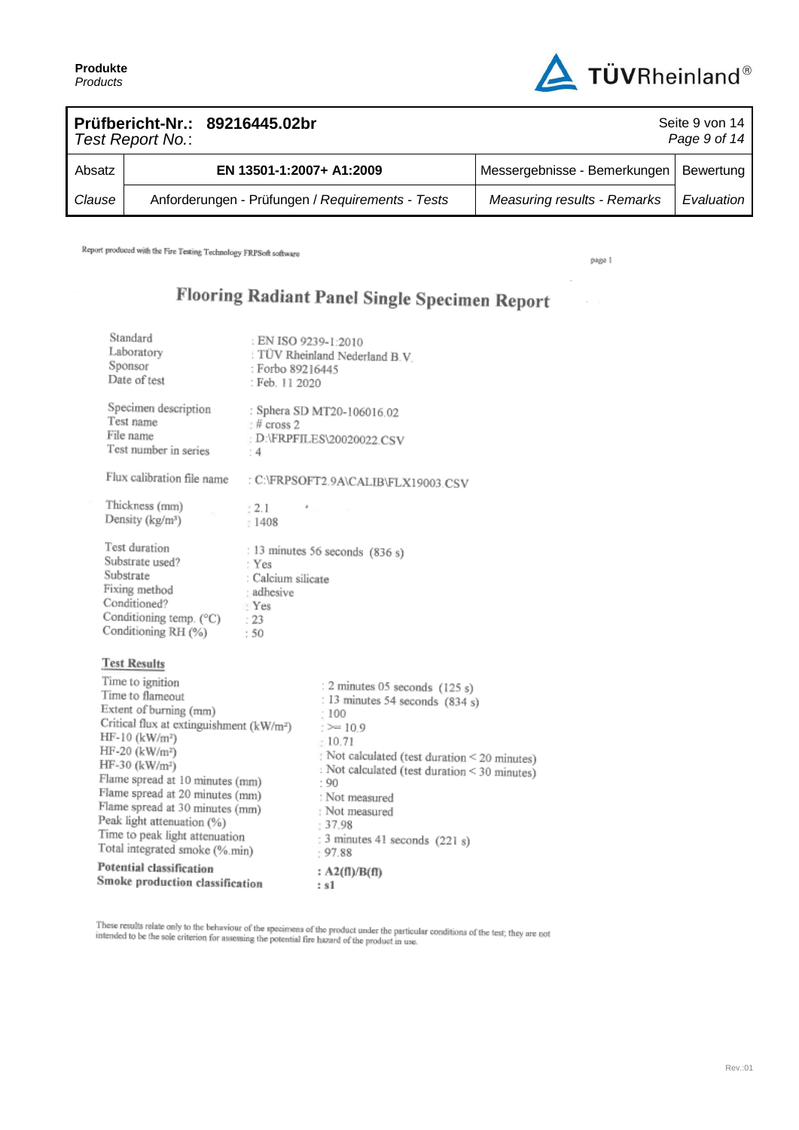

| Prüfbericht-Nr.: 89216445.02br<br>Seite 9 von 14<br>Page 9 of 14<br>Test Report No.: |  |                                                  |                                    |            |  |
|--------------------------------------------------------------------------------------|--|--------------------------------------------------|------------------------------------|------------|--|
| Absatz                                                                               |  | EN 13501-1:2007+ A1:2009                         | Messergebnisse - Bemerkungen       | Bewertung  |  |
| Clause                                                                               |  | Anforderungen - Prüfungen / Requirements - Tests | <b>Measuring results - Remarks</b> | Evaluation |  |

Report produced with the Fire Testing Technology FRPSoft software

page 1

 $\epsilon$ 

 $\sim$ 

## Flooring Radiant Panel Single Specimen Report

| Potential classification<br>Smoke production classification                                                                                                                                                                                                                                                                                                                                                                                          |                                                                    | : $A2(fI)/B(fI)$<br>: 81                                                                                                                                                                                                                                                                                   |
|------------------------------------------------------------------------------------------------------------------------------------------------------------------------------------------------------------------------------------------------------------------------------------------------------------------------------------------------------------------------------------------------------------------------------------------------------|--------------------------------------------------------------------|------------------------------------------------------------------------------------------------------------------------------------------------------------------------------------------------------------------------------------------------------------------------------------------------------------|
| <b>Test Results</b><br>Time to ignition<br>Time to flameout<br>Extent of burning (mm)<br>Critical flux at extinguishment (kW/m <sup>2</sup> )<br>$HF-10$ (kW/m <sup>2</sup> )<br>HF-20 (kW/m <sup>2</sup> )<br>HF-30 (kW/m <sup>2</sup> )<br>Flame spread at 10 minutes (mm)<br>Flame spread at 20 minutes (mm)<br>Flame spread at 30 minutes (mm)<br>Peak light attenuation (%)<br>Time to peak light attenuation<br>Total integrated smoke (%.min) |                                                                    | : 2 minutes 05 seconds (125 s)<br>: 13 minutes 54 seconds $(834 s)$<br>:100<br>$:= 10.9$<br>: 10.71<br>Not calculated (test duration < 20 minutes)<br>: Not calculated (test duration < 30 minutes)<br>$-90$<br>: Not measured<br>: Not measured<br>: 37.98<br>$: 3$ minutes 41 seconds (221 s)<br>: 97.88 |
| Test duration<br>Substrate used?<br>Substrate<br>Fixing method<br>Conditioned?<br>Conditioning temp. (°C)<br>Conditioning RH (%)                                                                                                                                                                                                                                                                                                                     | : Yes<br>: Calcium silicate<br>: adhesive<br>· Yes<br>: 23<br>: 50 | : 13 minutes 56 seconds (836 s)                                                                                                                                                                                                                                                                            |
| Thickness (mm)<br>Density (kg/m <sup>3</sup> )                                                                                                                                                                                                                                                                                                                                                                                                       | $+2.1$<br>1408                                                     |                                                                                                                                                                                                                                                                                                            |
| Flux calibration file name                                                                                                                                                                                                                                                                                                                                                                                                                           |                                                                    | : C:\FRPSOFT2.9A\CALIB\FLX19003.CSV                                                                                                                                                                                                                                                                        |
| Specimen description<br>Test name<br>File name<br>Test number in series                                                                                                                                                                                                                                                                                                                                                                              | $#$ cross 2<br>: 4                                                 | : Sphera SD MT20-106016.02<br>: D:\FRPFILES\20020022.CSV                                                                                                                                                                                                                                                   |
| Standard<br>Laboratory<br>Sponsor<br>Date of test                                                                                                                                                                                                                                                                                                                                                                                                    | : EN ISO 9239-1:2010<br>: Forbo 89216445<br>: Feb. 11 2020         | TÜV Rheinland Nederland B.V.                                                                                                                                                                                                                                                                               |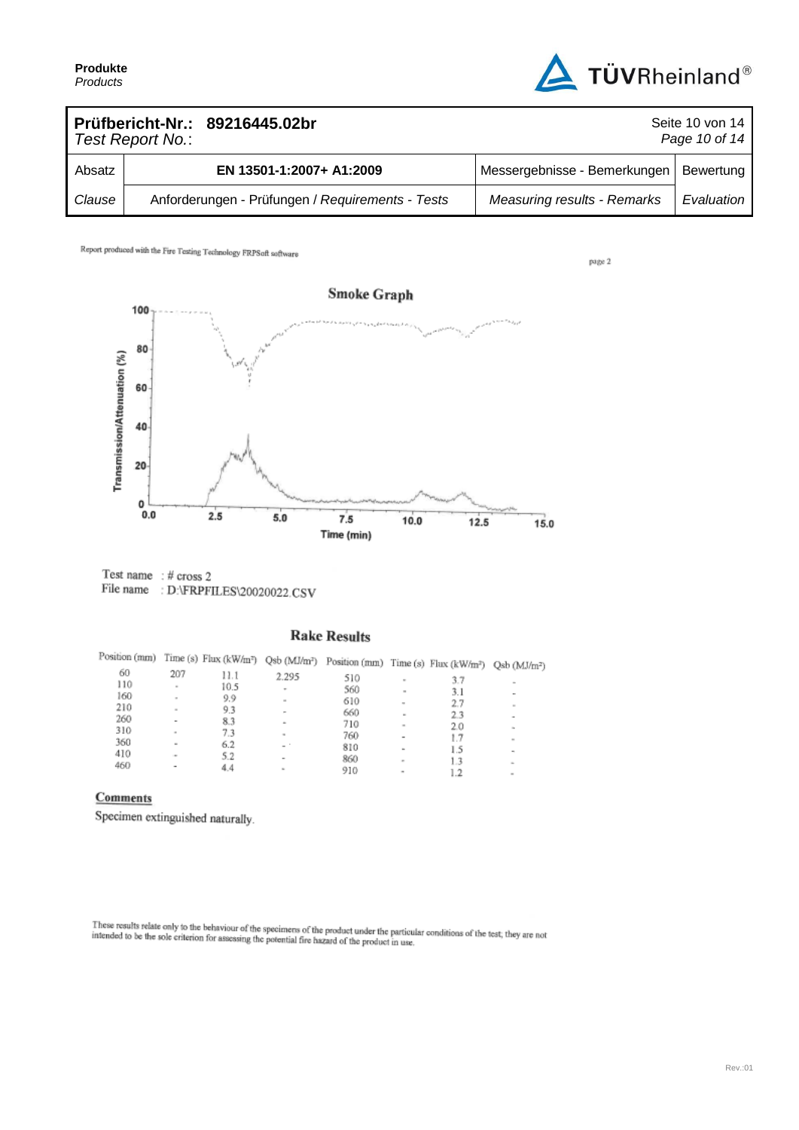

page 2

|        | Prüfbericht-Nr.: 89216445.02br<br>Test Report No.: |                                                  | Seite 10 von 14<br>Page 10 of 14   |            |  |  |
|--------|----------------------------------------------------|--------------------------------------------------|------------------------------------|------------|--|--|
| Absatz |                                                    | EN 13501-1:2007+ A1:2009                         | Messergebnisse - Bemerkungen       | Bewertung  |  |  |
| Clause |                                                    | Anforderungen - Prüfungen / Requirements - Tests | <b>Measuring results - Remarks</b> | Evaluation |  |  |

Report produced with the Fire Testing Technology FRPSoft software



Test name : # cross 2 File name: D:\FRPFILES\20020022.CSV

## **Rake Results**

| Position (mm) |              |      |        | Time (s) Flux (kW/m <sup>2</sup> ) Qsb (MJ/m <sup>2</sup> ) Position (mm) Time (s) Flux (kW/m <sup>2</sup> ) Qsb (MJ/m <sup>2</sup> ) |                          |     |                            |
|---------------|--------------|------|--------|---------------------------------------------------------------------------------------------------------------------------------------|--------------------------|-----|----------------------------|
| 60            | 207          | 11.1 | 2.295  | 510                                                                                                                                   |                          |     |                            |
| 110           | $\mathbf{r}$ | 10.5 |        |                                                                                                                                       | $\sim$                   | 3.7 |                            |
| 160           |              |      | ۰      | 560                                                                                                                                   | $\mathbf{m}$             | 3.1 |                            |
|               | $\sim$       | 9.9  | $\sim$ | 610                                                                                                                                   | $\sim$                   | 2.7 | $\sim$                     |
| 210           | $\sim$       | 9.3  | -      | 660                                                                                                                                   | $\sim$                   | 2.3 |                            |
| 260           | $\,$         | 8.3  | ۰      | 710                                                                                                                                   |                          |     | ۰                          |
| 310           | $\sim$       | 7.3  |        |                                                                                                                                       | $\scriptstyle\rm m$      | 2.0 | $\mathcal{L}_{\mathbf{r}}$ |
| 360           |              |      | $\sim$ | 760                                                                                                                                   | $\overline{\phantom{a}}$ | 1.7 | $\sim$                     |
|               | $\sim$       | 6.2  | $-$    | 810                                                                                                                                   | ۰                        | 1.5 |                            |
| 410           | ٠            | 5.2  | $\,$   | 860                                                                                                                                   |                          |     | $\blacksquare$             |
| 460           | -            | 4.4  | ×      |                                                                                                                                       | $\sim$                   | 13  | $\sim$                     |
|               |              |      |        | 910                                                                                                                                   | ۰                        |     | $\equiv$                   |
|               |              |      |        |                                                                                                                                       |                          |     |                            |

## Comments

Specimen extinguished naturally.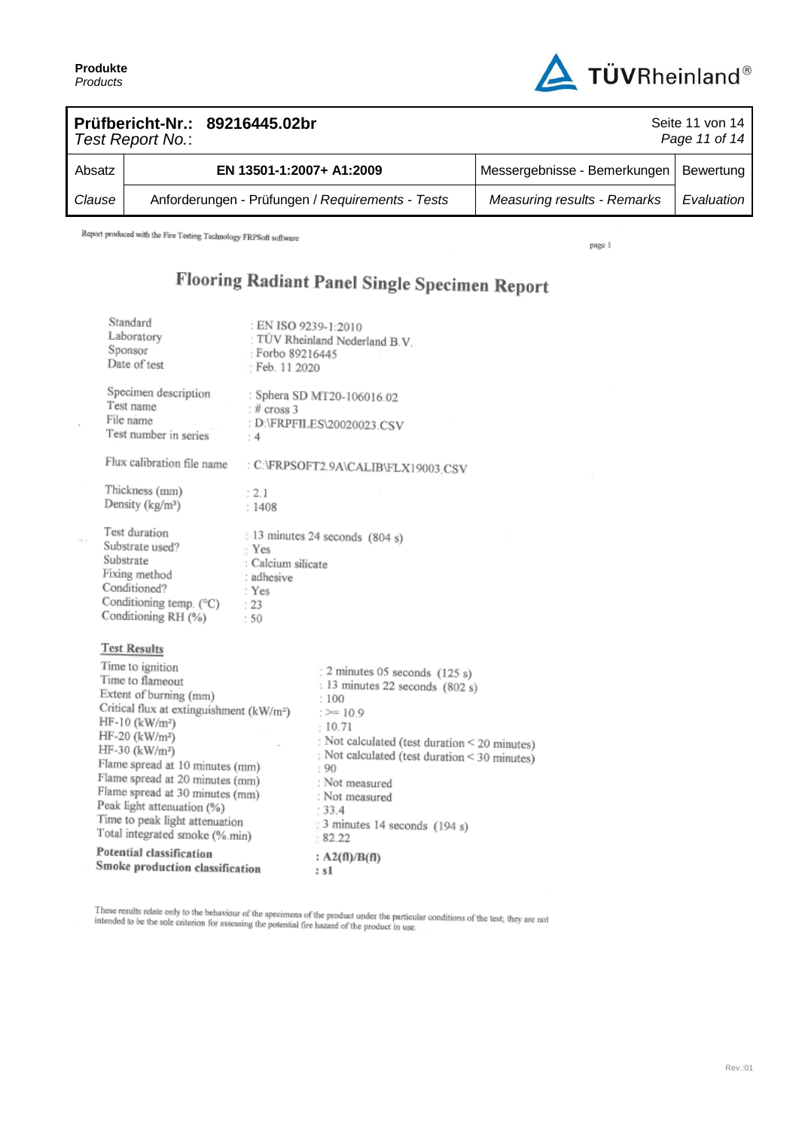$\overline{a}$ 

 $\mathcal{M}_\mathrm{c}$  or



| Prüfbericht-Nr.: 89216445.02br<br>Test Report No.: |  |                                                  | Seite 11 von 14<br>Page 11 of 14         |            |
|----------------------------------------------------|--|--------------------------------------------------|------------------------------------------|------------|
| Absatz                                             |  | EN 13501-1:2007+ A1:2009                         | Messergebnisse - Bemerkungen   Bewertung |            |
| Clause                                             |  | Anforderungen - Prüfungen / Requirements - Tests | <b>Measuring results - Remarks</b>       | Evaluation |

Report produced with the Fire Testing Technology FRPSoft software

page 1

# Flooring Radiant Panel Single Specimen Report

| Standard<br>Laboratory<br>Sponsor<br>Date of test                                                                                                                                                                                                                                                                                                                                                                                 | : EN ISO 9239-1:2010<br>: Forbo 89216445<br>Feb. 11 2020                     | : TÜV Rheinland Nederland B.V.                                                                                                                                                                                                                                                                    |
|-----------------------------------------------------------------------------------------------------------------------------------------------------------------------------------------------------------------------------------------------------------------------------------------------------------------------------------------------------------------------------------------------------------------------------------|------------------------------------------------------------------------------|---------------------------------------------------------------------------------------------------------------------------------------------------------------------------------------------------------------------------------------------------------------------------------------------------|
| Specimen description<br>Test name<br>File name<br>Test number in series                                                                                                                                                                                                                                                                                                                                                           | : $#$ cross 3<br>: $4$                                                       | : Sphera SD MT20-106016.02<br>: D:\FRPFILES\20020023.CSV                                                                                                                                                                                                                                          |
| Flux calibration file name                                                                                                                                                                                                                                                                                                                                                                                                        |                                                                              | : C:\FRPSOFT2.9A\CALIB\FLX19003;CSV                                                                                                                                                                                                                                                               |
| Thickness (mm)<br>Density (kg/m <sup>3</sup> )                                                                                                                                                                                                                                                                                                                                                                                    | : 2:1<br>:1408                                                               |                                                                                                                                                                                                                                                                                                   |
| Test duration<br>Substrate used?<br>Substrate<br>Fixing method<br>Conditioned?<br>Conditioning temp. (°C)<br>Conditioning RH (%)                                                                                                                                                                                                                                                                                                  | · Yes<br>: Calcium silicate<br>: adhesive<br>: $\mathrm{Yes}$<br>: 23<br>:50 | 13 minutes 24 seconds (804 s)                                                                                                                                                                                                                                                                     |
| <b>Test Results</b>                                                                                                                                                                                                                                                                                                                                                                                                               |                                                                              |                                                                                                                                                                                                                                                                                                   |
| Time to ignition<br>Time to flameout<br>Extent of burning (mm)<br>Critical flux at extinguishment (kW/m <sup>2</sup> )<br>$HF-10$ (kW/m <sup>2</sup> )<br>$HF-20$ (kW/m <sup>2</sup> )<br>$HF-30$ (kW/m <sup>2</sup> )<br>Flame spread at 10 minutes (mm)<br>Flame spread at 20 minutes (mm)<br>Flame spread at 30 minutes (mm)<br>Peak light attenuation (%)<br>Time to peak light attenuation<br>Total integrated smoke (%.min) |                                                                              | : 2 minutes 05 seconds (125 s)<br>: 13 minutes 22 seconds (802 s)<br>:100<br>$:= 10.9$<br>: 10.71<br>Not calculated (test duration < 20 minutes)<br>: Not calculated (test duration < 30 minutes)<br>$-90$<br>: Not measured<br>: Not measured<br>: 33.4<br>3 minutes 14 seconds (194 s)<br>82.22 |
| Potential classification<br>Smoke production classification                                                                                                                                                                                                                                                                                                                                                                       |                                                                              | : $A2(fI)/B(fI)$<br>: s1                                                                                                                                                                                                                                                                          |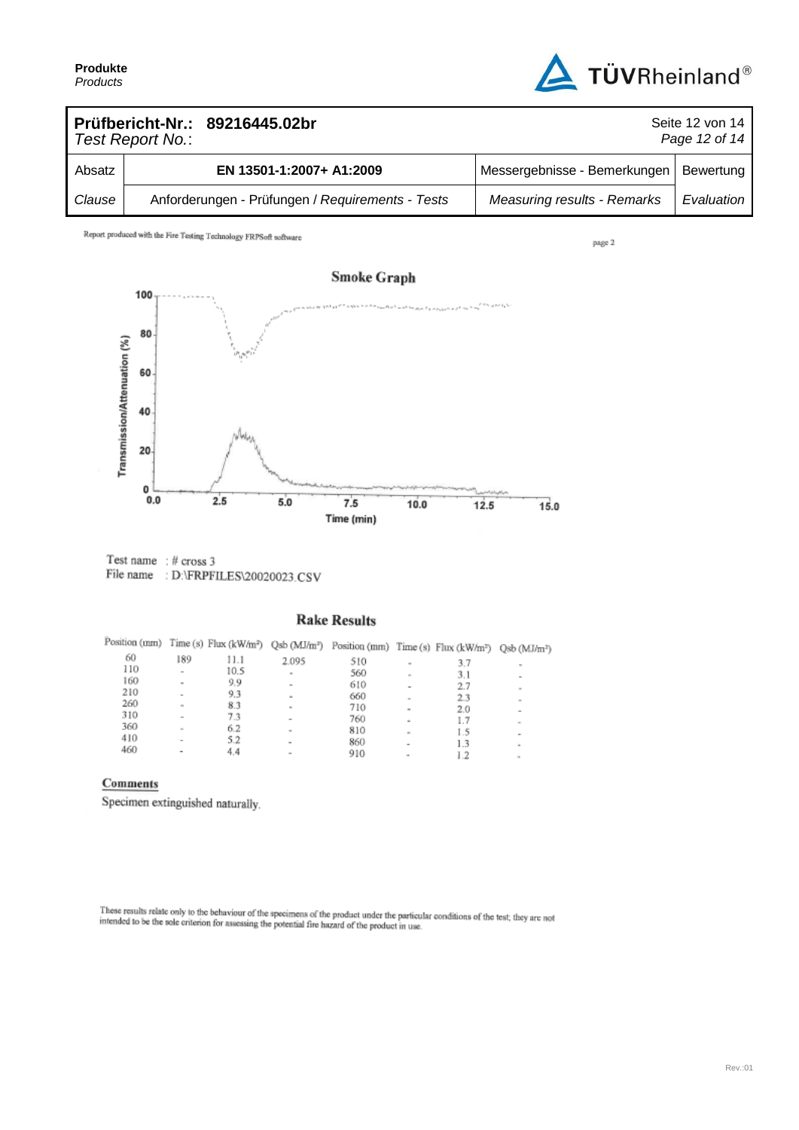

| Prüfbericht-Nr.: 89216445.02br<br>Seite 12 von 14<br>Page 12 of 14<br>Test Report No.: |  |                                                  |                                    |            |
|----------------------------------------------------------------------------------------|--|--------------------------------------------------|------------------------------------|------------|
| Absatz                                                                                 |  | EN 13501-1:2007+ A1:2009                         | Messergebnisse - Bemerkungen       | Bewertung  |
| Clause                                                                                 |  | Anforderungen - Prüfungen / Requirements - Tests | <b>Measuring results - Remarks</b> | Evaluation |

Report produced with the Fire Testing Technology FRPSoft software

page 2



Test name  $: #$  cross 3 File name : D:\FRPFILES\20020023.CSV

### **Rake Results**

|     |                          |      |                          | Position (mm) Time (s) Flux (kW/m <sup>2</sup> ) Qsb (MJ/m <sup>2</sup> ) Position (mm) Time (s) Flux (kW/m <sup>2</sup> ) Qsb (MJ/m <sup>2</sup> ) |                          |     |                          |
|-----|--------------------------|------|--------------------------|-----------------------------------------------------------------------------------------------------------------------------------------------------|--------------------------|-----|--------------------------|
| 60  | 189                      | 11.1 | 2.095                    | 510                                                                                                                                                 | $\sim$                   | 3.7 |                          |
| 110 | ٠                        | 10.5 | $\sim$                   | 560                                                                                                                                                 | $\sim$                   | 3.1 |                          |
| 160 | $\;$                     | 9.9  | $\,$                     | 610                                                                                                                                                 |                          | 2.7 | $\frac{1}{2}$            |
| 210 | $\overline{\phantom{a}}$ | 9.3  | $\equiv$                 | 660                                                                                                                                                 | $\sim$                   | 23  | $\sim$                   |
| 260 | $\sim$                   | 8.3  | ۰                        | 710                                                                                                                                                 | $\,$                     | 2.0 | $\overline{\phantom{a}}$ |
| 310 | $\overline{\phantom{a}}$ | 7.3  | $\overline{\phantom{a}}$ | 760                                                                                                                                                 | ×                        | 1.7 | $\sim$                   |
| 360 | $\sim$                   | 6.2  | $\mathbf{u}$             | 810                                                                                                                                                 | $\mathbf{m}$             | 1.5 |                          |
| 410 | $\,$                     | 5.2  | ۰                        | 860                                                                                                                                                 | ۰                        | 1.3 | ٠                        |
| 460 | $\overline{\phantom{a}}$ | 4.4  | $\sim$                   | 910                                                                                                                                                 | $\overline{\phantom{a}}$ | 1.2 | $\frac{1}{2}$            |

### Comments

Specimen extinguished naturally.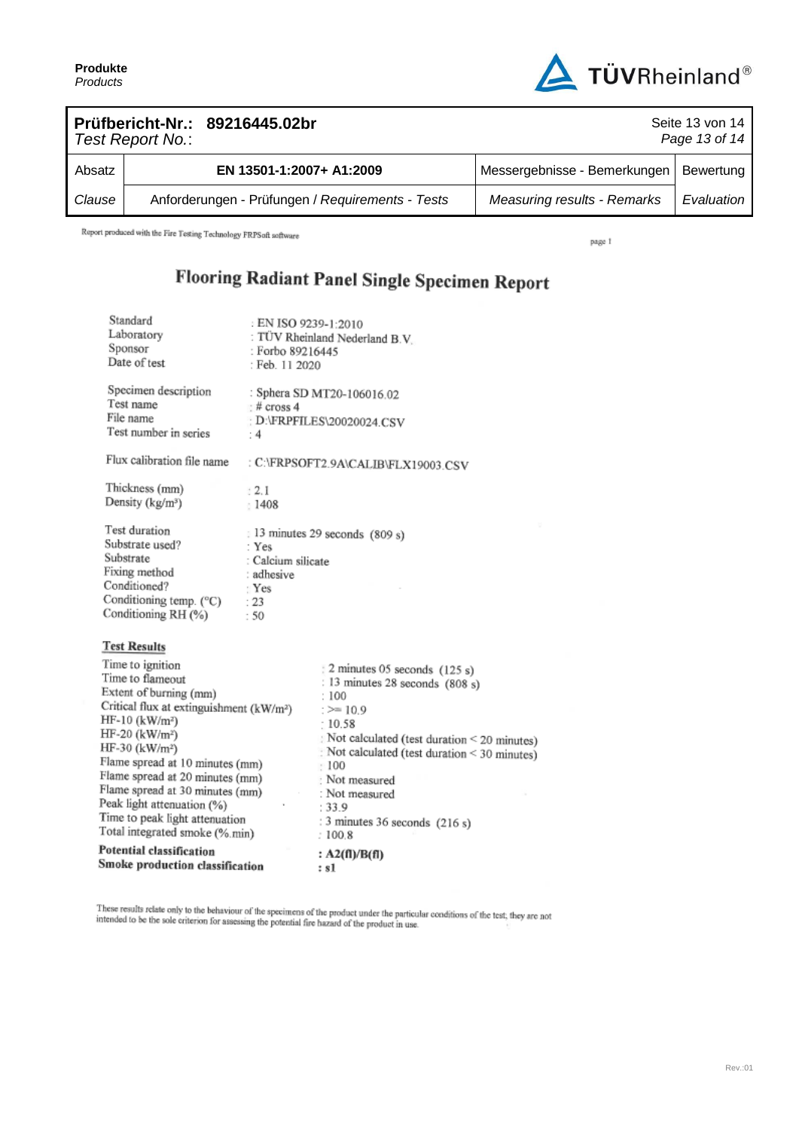Standard



|        | Test Report No.: | Prüfbericht-Nr.: 89216445.02br                   | Seite 13 von 14<br>Page 13 of 14   |            |  |
|--------|------------------|--------------------------------------------------|------------------------------------|------------|--|
| Absatz |                  | EN 13501-1:2007+ A1:2009                         | Messergebnisse - Bemerkungen       | Bewertung  |  |
| Clause |                  | Anforderungen - Prüfungen / Requirements - Tests | <b>Measuring results - Remarks</b> | Evaluation |  |

Report produced with the Fire Testing Technology FRPSoft software

page 1

## Flooring Radiant Panel Single Specimen Report

| <b>Potential classification</b><br>Smoke production classification                                                                                                                                                                                                                                                                                                                                                                                   |                                                                            | : $A2(fI)/B(fI)$<br>: s1                                                                                                                                                                                                                                                                                     |
|------------------------------------------------------------------------------------------------------------------------------------------------------------------------------------------------------------------------------------------------------------------------------------------------------------------------------------------------------------------------------------------------------------------------------------------------------|----------------------------------------------------------------------------|--------------------------------------------------------------------------------------------------------------------------------------------------------------------------------------------------------------------------------------------------------------------------------------------------------------|
| <b>Test Results</b><br>Time to ignition<br>Time to flameout<br>Extent of burning (mm)<br>Critical flux at extinguishment (kW/m <sup>2</sup> )<br>HF-10 (kW/m <sup>2</sup> )<br>$HF-20$ (kW/m <sup>2</sup> )<br>HF-30 (kW/m <sup>2</sup> )<br>Flame spread at 10 minutes (mm)<br>Flame spread at 20 minutes (mm)<br>Flame spread at 30 minutes (mm)<br>Peak light attenuation (%)<br>Time to peak light attenuation<br>Total integrated smoke (%.min) |                                                                            | $\frac{3}{2}$ minutes 05 seconds (125 s)<br>: 13 minutes 28 seconds (808 s)<br>: 100<br>$\ge$ 10.9<br>: 10.58<br>Not calculated (test duration < 20 minutes)<br>Not calculated (test duration < 30 minutes)<br>: 100<br>Not measured<br>: Not measured<br>: 33.9<br>: 3 minutes 36 seconds (216 s)<br>:100.8 |
| Test duration<br>Substrate used?<br>Substrate<br>Fixing method<br>Conditioned?<br>Conditioning temp. (°C)<br>Conditioning RH (%)                                                                                                                                                                                                                                                                                                                     | : Yes<br>: Calcium silicate<br>: adhesive<br>$\mathbf{Yes}$<br>: 23<br>:50 | : 13 minutes 29 seconds (809 s)                                                                                                                                                                                                                                                                              |
| Flux calibration file name<br>Thickness (mm)<br>Density (kg/m <sup>3</sup> )                                                                                                                                                                                                                                                                                                                                                                         | 12.1<br>1408                                                               | : C:\FRPSOFT2.9A\CALIB\FLX19003.CSV                                                                                                                                                                                                                                                                          |
| Specimen description<br>Test name<br>File name<br>Test number in series                                                                                                                                                                                                                                                                                                                                                                              | $#$ cross 4<br>: $4$                                                       | : Sphera SD MT20-106016.02<br>: D:\FRPFILES\20020024.CSV                                                                                                                                                                                                                                                     |
| Standard<br>Laboratory<br>Sponsor<br>Date of test                                                                                                                                                                                                                                                                                                                                                                                                    | EN ISO 9239-1:2010<br>: Forbo 89216445<br>: Feb. 11 2020                   | : TÜV Rheinland Nederland B.V.                                                                                                                                                                                                                                                                               |